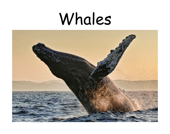## Whales

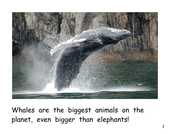

Whales are the biggest animals on the planet, even bigger than elephants!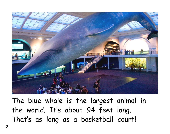

The blue whale is the largest animal in the world. It's about 94 feet long. That's as long as a basketball court!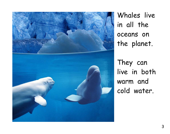

Whales live in all the oceans on the planet.

They can live in both warm and cold water.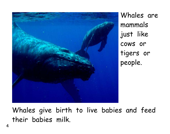

Whales are mammals just like cows or tigers or people.

Whales give birth to live babies and feed their babies milk.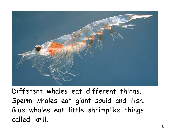

Different whales eat different things. Sperm whales eat giant squid and fish. Blue whales eat little shrimplike things called krill.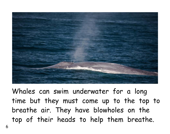

Whales can swim underwater for a long time but they must come up to the top to breathe air. They have blowholes on the top of their heads to help them breathe.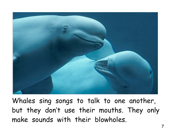

Whales sing songs to talk to one another, but they don't use their mouths. They only make sounds with their blowholes.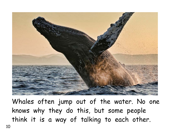

Whales often jump out of the water. No one knows why they do this, but some people think it is a way of talking to each other.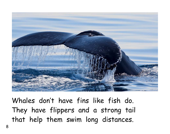

Whales don't have fins like fish do. They have flippers and a strong tail that help them swim long distances.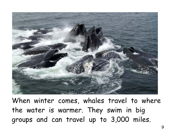

When winter comes, whales travel to where the water is warmer. They swim in big groups and can travel up to 3,000 miles.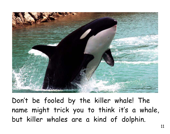

Don't be fooled by the killer whale! The name might trick you to think it's a whale, but killer whales are a kind of dolphin.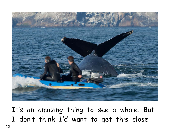

It's an amazing thing to see a whale. But I don't think I'd want to get this close!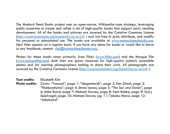The Mustard Seed Books project uses an open-source, Wikipedia-type strategy, leveraging public expertise to create and refine a set of high-quality books that support early reading development. All of the books and pictures are covered by the Creative Commons License (http://creativecommons.org/licenses/by-nc-sa/3.0/ ) and are free to print, distribute, and modify for personal or educational use. The books are available at www.mustardseedbooks.org. New titles appear on a regular basis. If you have any ideas for books or would like to leave us any feedback, contact  $rick@must are deobooks.org$ .

Photos for these books come primarily from Flickr (www.flickr.com) and the Morgue File (www.morguefile.com). Both sites are great resources for high-quality publicly accessible photos and for aspiring photographers looking to share their work. All photographs are covered by the Creative Commons License (http://creativecommons.org/licenses/by-nc-sa/3.0/ ).

**Text credits:** Elizabeth Kim **Photo credits:** Cover: "Tomcod"; page 1: "idegenhardt"; page 2: Ken Zirkel; page 3: "flickkerphotos"; page 4: Steve Isaacs; page 5: "The Sun and Doves"; page 6: Mike Baird; page 7: Michael Dawes; page 8: Peat Bakke; page 9: Gary Spielvogel; page 10: Michael Dawes; pg. 11: Takako Marui; page 12: "mikebaird"